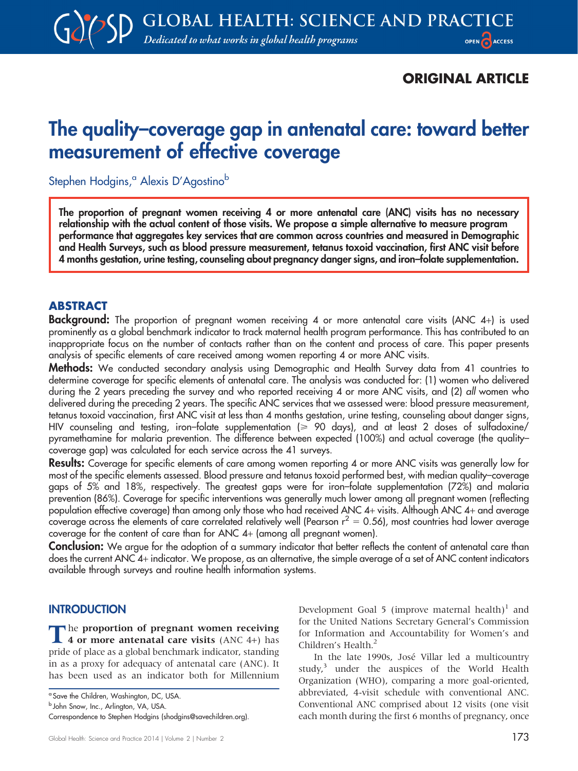## ORIGINAL ARTICLE

# The quality–coverage gap in antenatal care: toward better measurement of effective coverage

Stephen Hodgins,<sup>a</sup> Alexis D'Agostino<sup>b</sup>

The proportion of pregnant women receiving 4 or more antenatal care (ANC) visits has no necessary relationship with the actual content of those visits. We propose a simple alternative to measure program performance that aggregates key services that are common across countries and measured in Demographic and Health Surveys, such as blood pressure measurement, tetanus toxoid vaccination, first ANC visit before 4 months gestation, urine testing, counseling about pregnancy danger signs, and iron–folate supplementation.

## ABSTRACT

Background: The proportion of pregnant women receiving 4 or more antenatal care visits (ANC 4+) is used prominently as a global benchmark indicator to track maternal health program performance. This has contributed to an inappropriate focus on the number of contacts rather than on the content and process of care. This paper presents analysis of specific elements of care received among women reporting 4 or more ANC visits.

Methods: We conducted secondary analysis using Demographic and Health Survey data from 41 countries to determine coverage for specific elements of antenatal care. The analysis was conducted for: (1) women who delivered during the 2 years preceding the survey and who reported receiving 4 or more ANC visits, and (2) all women who delivered during the preceding 2 years. The specific ANC services that we assessed were: blood pressure measurement, tetanus toxoid vaccination, first ANC visit at less than 4 months gestation, urine testing, counseling about danger signs, HIV counseling and testing, iron-folate supplementation ( $\geq 90$  days), and at least 2 doses of sulfadoxine/ pyramethamine for malaria prevention. The difference between expected (100%) and actual coverage (the quality– coverage gap) was calculated for each service across the 41 surveys.

Results: Coverage for specific elements of care among women reporting 4 or more ANC visits was generally low for most of the specific elements assessed. Blood pressure and tetanus toxoid performed best, with median quality–coverage gaps of 5% and 18%, respectively. The greatest gaps were for iron–folate supplementation (72%) and malaria prevention (86%). Coverage for specific interventions was generally much lower among all pregnant women (reflecting population effective coverage) than among only those who had received ANC 4+ visits. Although ANC 4+ and average coverage across the elements of care correlated relatively well (Pearson  $r^2 = 0.56$ ), most countries had lower average coverage for the content of care than for ANC 4+ (among all pregnant women).

Conclusion: We argue for the adoption of a summary indicator that better reflects the content of antenatal care than does the current ANC 4+ indicator. We propose, as an alternative, the simple average of a set of ANC content indicators available through surveys and routine health information systems.

#### **INTRODUCTION**

The proportion of pregnant women receiving<br>4 or more antenatal care visits (ANC 4+) has pride of place as a global benchmark indicator, standing in as a proxy for adequacy of antenatal care (ANC). It has been used as an indicator both for Millennium

b John Snow, Inc., Arlington, VA, USA.

Development Goal 5 (improve maternal health)<sup>1</sup> and for the United Nations Secretary General's Commission for Information and Accountability for Women's and Children's Health.<sup>2</sup>

In the late 1990s, José Villar led a multicountry study,<sup>3</sup> under the auspices of the World Health Organization (WHO), comparing a more goal-oriented, abbreviated, 4-visit schedule with conventional ANC. Conventional ANC comprised about 12 visits (one visit each month during the first 6 months of pregnancy, once

<sup>&</sup>lt;sup>a</sup> Save the Children, Washington, DC, USA.

Correspondence to Stephen Hodgins (shodgins@savechildren.org).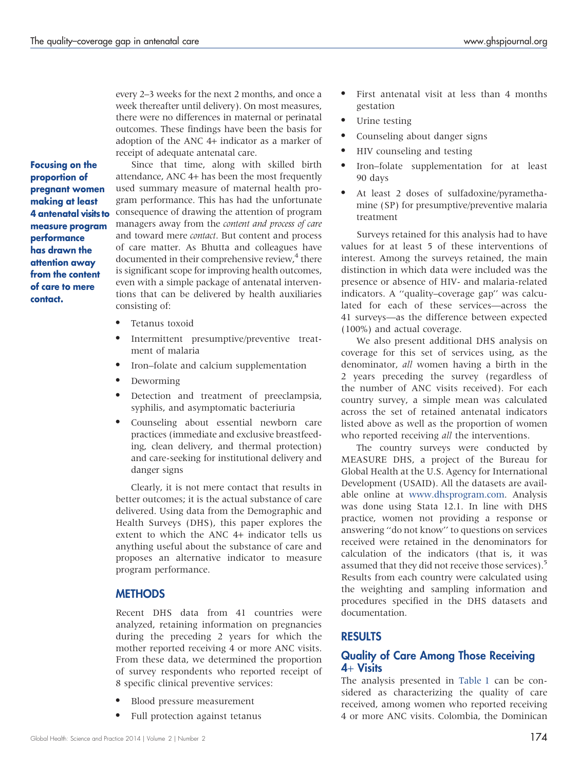every 2–3 weeks for the next 2 months, and once a week thereafter until delivery). On most measures, there were no differences in maternal or perinatal outcomes. These findings have been the basis for adoption of the ANC 4+ indicator as a marker of receipt of adequate antenatal care.

Focusing on the proportion of pregnant women making at least 4 antenatal visits to measure program performance has drawn the attention away from the content of care to mere contact.

Since that time, along with skilled birth attendance, ANC 4+ has been the most frequently used summary measure of maternal health program performance. This has had the unfortunate consequence of drawing the attention of program managers away from the content and process of care and toward mere contact. But content and process of care matter. As Bhutta and colleagues have documented in their comprehensive review,<sup>4</sup> there is significant scope for improving health outcomes, even with a simple package of antenatal interventions that can be delivered by health auxiliaries consisting of:

- Tetanus toxoid
- Intermittent presumptive/preventive treatment of malaria
- Iron–folate and calcium supplementation
- Deworming
- $\bullet$  Detection and treatment of preeclampsia, syphilis, and asymptomatic bacteriuria
- Counseling about essential newborn care practices (immediate and exclusive breastfeeding, clean delivery, and thermal protection) and care-seeking for institutional delivery and danger signs

Clearly, it is not mere contact that results in better outcomes; it is the actual substance of care delivered. Using data from the Demographic and Health Surveys (DHS), this paper explores the extent to which the ANC 4+ indicator tells us anything useful about the substance of care and proposes an alternative indicator to measure program performance.

## **METHODS**

Recent DHS data from 41 countries were analyzed, retaining information on pregnancies during the preceding 2 years for which the mother reported receiving 4 or more ANC visits. From these data, we determined the proportion of survey respondents who reported receipt of 8 specific clinical preventive services:

- Blood pressure measurement
- Full protection against tetanus
- First antenatal visit at less than 4 months gestation
- Urine testing
- Counseling about danger signs
- HIV counseling and testing
- Iron–folate supplementation for at least 90 days
- At least 2 doses of sulfadoxine/pyramethamine (SP) for presumptive/preventive malaria treatment

Surveys retained for this analysis had to have values for at least 5 of these interventions of interest. Among the surveys retained, the main distinction in which data were included was the presence or absence of HIV- and malaria-related indicators. A ''quality–coverage gap'' was calculated for each of these services—across the 41 surveys—as the difference between expected (100%) and actual coverage.

We also present additional DHS analysis on coverage for this set of services using, as the denominator, all women having a birth in the 2 years preceding the survey (regardless of the number of ANC visits received). For each country survey, a simple mean was calculated across the set of retained antenatal indicators listed above as well as the proportion of women who reported receiving *all* the interventions.

The country surveys were conducted by MEASURE DHS, a project of the Bureau for Global Health at the U.S. Agency for International Development (USAID). All the datasets are available online at [www.dhsprogram.com.](www.dhsprogram.com) Analysis was done using Stata 12.1. In line with DHS practice, women not providing a response or answering ''do not know'' to questions on services received were retained in the denominators for calculation of the indicators (that is, it was assumed that they did not receive those services).<sup>5</sup> Results from each country were calculated using the weighting and sampling information and procedures specified in the DHS datasets and documentation.

## RESULTS

#### Quality of Care Among Those Receiving  $4+Visits$

The analysis presented in [Table 1](#page-2-0) can be considered as characterizing the quality of care received, among women who reported receiving 4 or more ANC visits. Colombia, the Dominican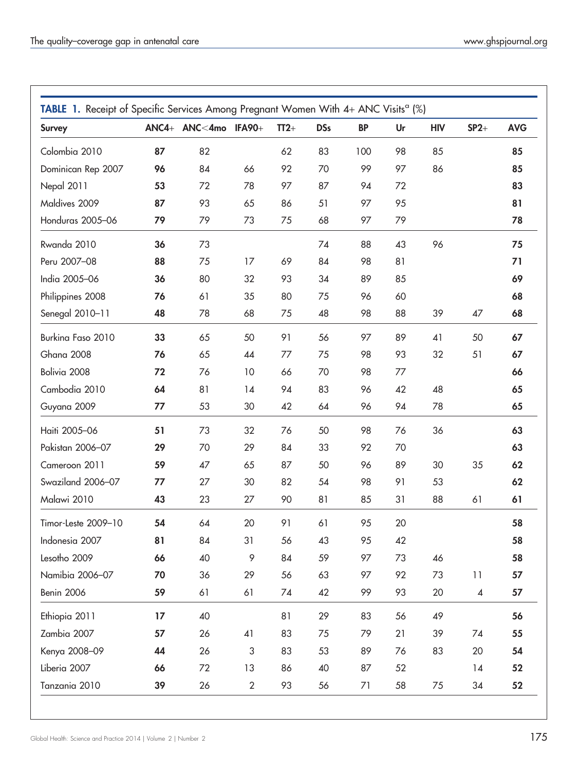<span id="page-2-0"></span>

| <b>Survey</b>       |    | ANC4+ ANC<4mo IFA90+ |                           | $TT2+$ | <b>DSs</b> | <b>BP</b> | Ur | <b>HIV</b> | $SP2+$ | <b>AVG</b> |
|---------------------|----|----------------------|---------------------------|--------|------------|-----------|----|------------|--------|------------|
| Colombia 2010       | 87 | 82                   |                           | 62     | 83         | 100       | 98 | 85         |        | 85         |
| Dominican Rep 2007  | 96 | 84                   | 66                        | 92     | 70         | 99        | 97 | 86         |        | 85         |
| Nepal 2011          | 53 | 72                   | 78                        | 97     | 87         | 94        | 72 |            |        | 83         |
| Maldives 2009       | 87 | 93                   | 65                        | 86     | 51         | 97        | 95 |            |        | 81         |
| Honduras 2005-06    | 79 | 79                   | 73                        | 75     | 68         | 97        | 79 |            |        | 78         |
| Rwanda 2010         | 36 | 73                   |                           |        | 74         | 88        | 43 | 96         |        | 75         |
| Peru 2007-08        | 88 | 75                   | 17                        | 69     | 84         | 98        | 81 |            |        | 71         |
| India 2005-06       | 36 | 80                   | 32                        | 93     | 34         | 89        | 85 |            |        | 69         |
| Philippines 2008    | 76 | 61                   | 35                        | 80     | 75         | 96        | 60 |            |        | 68         |
| Senegal 2010-11     | 48 | 78                   | 68                        | 75     | 48         | 98        | 88 | 39         | 47     | 68         |
| Burkina Faso 2010   | 33 | 65                   | 50                        | 91     | 56         | 97        | 89 | 41         | 50     | 67         |
| Ghana 2008          | 76 | 65                   | 44                        | 77     | 75         | 98        | 93 | 32         | 51     | 67         |
| Bolivia 2008        | 72 | 76                   | 10                        | 66     | 70         | 98        | 77 |            |        | 66         |
| Cambodia 2010       | 64 | 81                   | 14                        | 94     | 83         | 96        | 42 | 48         |        | 65         |
| Guyana 2009         | 77 | 53                   | 30                        | 42     | 64         | 96        | 94 | 78         |        | 65         |
| Haiti 2005-06       | 51 | 73                   | 32                        | 76     | 50         | 98        | 76 | 36         |        | 63         |
| Pakistan 2006-07    | 29 | 70                   | 29                        | 84     | 33         | 92        | 70 |            |        | 63         |
| Cameroon 2011       | 59 | 47                   | 65                        | 87     | 50         | 96        | 89 | 30         | 35     | 62         |
| Swaziland 2006-07   | 77 | 27                   | 30                        | 82     | 54         | 98        | 91 | 53         |        | 62         |
| Malawi 2010         | 43 | 23                   | 27                        | 90     | 81         | 85        | 31 | 88         | 61     | 61         |
| Timor-Leste 2009-10 | 54 | 64                   | 20                        | 91     | 61         | 95        | 20 |            |        | 58         |
| Indonesia 2007      | 81 | 84                   | 31                        | 56     | 43         | 95        | 42 |            |        | 58         |
| Lesotho 2009        | 66 | 40                   | 9                         | 84     | 59         | 97        | 73 | 46         |        | 58         |
| Namibia 2006-07     | 70 | 36                   | 29                        | 56     | 63         | 97        | 92 | 73         | 11     | 57         |
| Benin 2006          | 59 | 61                   | 61                        | 74     | 42         | 99        | 93 | 20         | 4      | 57         |
| Ethiopia 2011       | 17 | 40                   |                           | 81     | 29         | 83        | 56 | 49         |        | 56         |
| Zambia 2007         | 57 | 26                   | 41                        | 83     | 75         | 79        | 21 | 39         | 74     | 55         |
| Kenya 2008-09       | 44 | 26                   | $\ensuremath{\mathsf{3}}$ | 83     | 53         | 89        | 76 | 83         | 20     | 54         |
| Liberia 2007        | 66 | 72                   | 13                        | 86     | 40         | 87        | 52 |            | 14     | 52         |
| Tanzania 2010       | 39 | 26                   | $\mathbf{2}$              | 93     | 56         | 71        | 58 | 75         | 34     | 52         |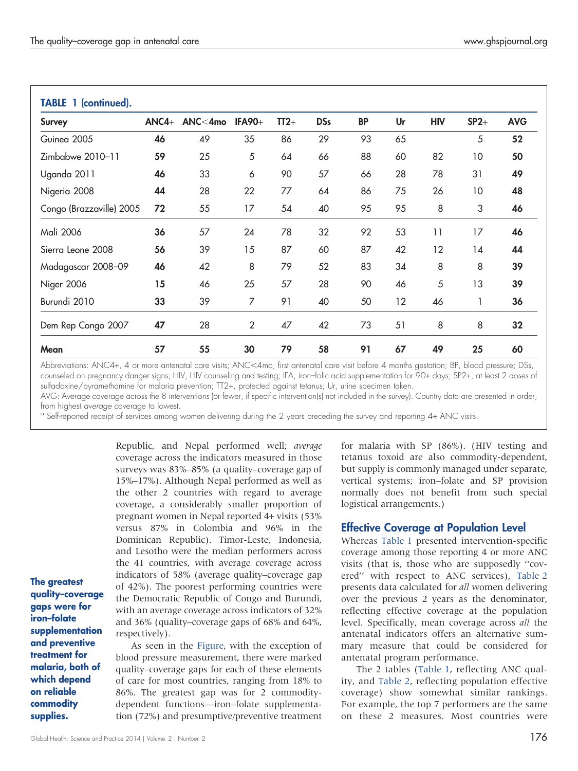| <b>Survey</b>            | $ANCA+$ | $ANC<$ 4mo | <b>IFA90+</b>  | $TT2+$ | <b>DSs</b> | <b>BP</b> | Ur | <b>HIV</b> | $SP2+$ | <b>AVG</b> |
|--------------------------|---------|------------|----------------|--------|------------|-----------|----|------------|--------|------------|
| Guinea 2005              | 46      | 49         | 35             | 86     | 29         | 93        | 65 |            | 5      | 52         |
| Zimbabwe 2010-11         | 59      | 25         | 5              | 64     | 66         | 88        | 60 | 82         | 10     | 50         |
| Uganda 2011              | 46      | 33         | 6              | 90     | 57         | 66        | 28 | 78         | 31     | 49         |
| Nigeria 2008             | 44      | 28         | 22             | 77     | 64         | 86        | 75 | 26         | 10     | 48         |
| Congo (Brazzaville) 2005 | 72      | 55         | 17             | 54     | 40         | 95        | 95 | 8          | 3      | 46         |
| Mali 2006                | 36      | 57         | 24             | 78     | 32         | 92        | 53 | 11         | 17     | 46         |
| Sierra Leone 2008        | 56      | 39         | 15             | 87     | 60         | 87        | 42 | 12         | 14     | 44         |
| Madagascar 2008–09       | 46      | 42         | 8              | 79     | 52         | 83        | 34 | 8          | 8      | 39         |
| Niger 2006               | 15      | 46         | 25             | 57     | 28         | 90        | 46 | 5          | 13     | 39         |
| Burundi 2010             | 33      | 39         | 7              | 91     | 40         | 50        | 12 | 46         |        | 36         |
| Dem Rep Congo 2007       | 47      | 28         | $\overline{2}$ | 47     | 42         | 73        | 51 | 8          | 8      | 32         |
| Mean                     | 57      | 55         | 30             | 79     | 58         | 91        | 67 | 49         | 25     | 60         |

Abbreviations: ANC4+, 4 or more antenatal care visits; ANC<4mo, first antenatal care visit before 4 months gestation; BP, blood pressure; DSs, counseled on pregnancy danger signs; HIV, HIV counseling and testing; IFA, iron–folic acid supplementation for 90+ days; SP2+, at least 2 doses of sulfadoxine/pyramethamine for malaria prevention; TT2+, protected against tetanus; Ur, urine specimen taken.

AVG: Average coverage across the 8 interventions (or fewer, if specific intervention(s) not included in the survey). Country data are presented in order,<br>from highest *average cov*erage to lowest.

<sup>a</sup> Self-reported receipt of services among women delivering during the 2 years preceding the survey and reporting 4+ ANC visits.

Republic, and Nepal performed well; average coverage across the indicators measured in those surveys was 83%–85% (a quality–coverage gap of 15%–17%). Although Nepal performed as well as the other 2 countries with regard to average coverage, a considerably smaller proportion of pregnant women in Nepal reported 4+ visits (53% versus 87% in Colombia and 96% in the Dominican Republic). Timor-Leste, Indonesia, and Lesotho were the median performers across the 41 countries, with average coverage across indicators of 58% (average quality–coverage gap of 42%). The poorest performing countries were the Democratic Republic of Congo and Burundi, with an average coverage across indicators of 32% and 36% (quality–coverage gaps of 68% and 64%, respectively).

The greatest quality–coverage gaps were for iron–folate supplementation and preventive treatment for malaria, both of which depend on reliable commodity supplies.

As seen in the [Figure](#page-4-0), with the exception of blood pressure measurement, there were marked quality–coverage gaps for each of these elements of care for most countries, ranging from 18% to 86%. The greatest gap was for 2 commoditydependent functions—iron–folate supplementation (72%) and presumptive/preventive treatment for malaria with SP (86%). (HIV testing and tetanus toxoid are also commodity-dependent, but supply is commonly managed under separate, vertical systems; iron–folate and SP provision normally does not benefit from such special logistical arrangements.)

## Effective Coverage at Population Level

Whereas [Table 1](#page-2-0) presented intervention-specific coverage among those reporting 4 or more ANC visits (that is, those who are supposedly ''covered'' with respect to ANC services), [Table 2](#page-5-0) presents data calculated for all women delivering over the previous 2 years as the denominator, reflecting effective coverage at the population level. Specifically, mean coverage across all the antenatal indicators offers an alternative summary measure that could be considered for antenatal program performance.

The 2 tables [\(Table 1](#page-2-0), reflecting ANC quality, and [Table 2](#page-5-0), reflecting population effective coverage) show somewhat similar rankings. For example, the top 7 performers are the same on these 2 measures. Most countries were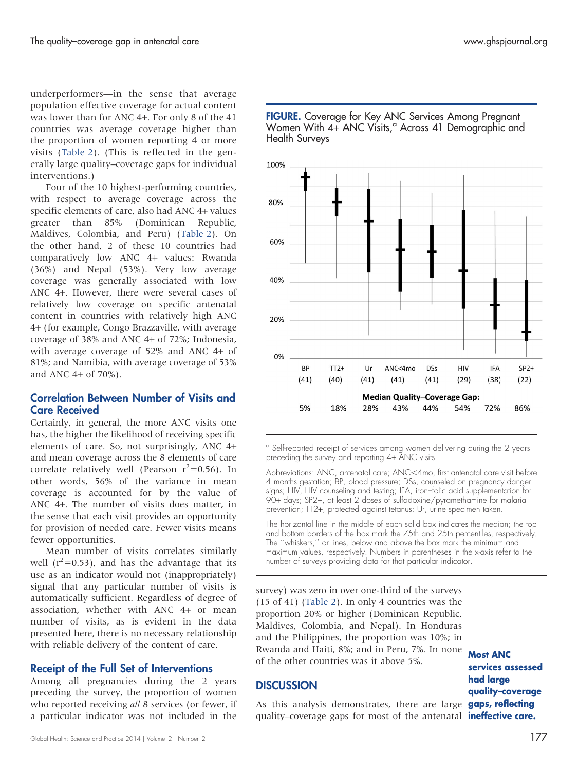<span id="page-4-0"></span>underperformers—in the sense that average population effective coverage for actual content was lower than for ANC 4+. For only 8 of the 41 countries was average coverage higher than the proportion of women reporting 4 or more visits [\(Table 2](#page-5-0)). (This is reflected in the generally large quality–coverage gaps for individual interventions.)

Four of the 10 highest-performing countries, with respect to average coverage across the specific elements of care, also had ANC 4+ values greater than 85% (Dominican Republic, Maldives, Colombia, and Peru) [\(Table 2](#page-5-0)). On the other hand, 2 of these 10 countries had comparatively low ANC 4+ values: Rwanda (36%) and Nepal (53%). Very low average coverage was generally associated with low ANC 4+. However, there were several cases of relatively low coverage on specific antenatal content in countries with relatively high ANC 4+ (for example, Congo Brazzaville, with average coverage of 38% and ANC 4+ of 72%; Indonesia, with average coverage of 52% and ANC 4+ of 81%; and Namibia, with average coverage of 53% and ANC 4+ of 70%).

#### Correlation Between Number of Visits and Care Received

Certainly, in general, the more ANC visits one has, the higher the likelihood of receiving specific elements of care. So, not surprisingly, ANC 4+ and mean coverage across the 8 elements of care correlate relatively well (Pearson  $r^2$ =0.56). In other words, 56% of the variance in mean coverage is accounted for by the value of ANC 4+. The number of visits does matter, in the sense that each visit provides an opportunity for provision of needed care. Fewer visits means fewer opportunities.

Mean number of visits correlates similarly well ( $r^2$ =0.53), and has the advantage that its use as an indicator would not (inappropriately) signal that any particular number of visits is automatically sufficient. Regardless of degree of association, whether with ANC 4+ or mean number of visits, as is evident in the data presented here, there is no necessary relationship with reliable delivery of the content of care.

#### Receipt of the Full Set of Interventions

Among all pregnancies during the 2 years preceding the survey, the proportion of women who reported receiving all 8 services (or fewer, if a particular indicator was not included in the



FIGURE. Coverage for Key ANC Services Among Pregnant Women With  $4 +$  ANC Visits,<sup> $\alpha$ </sup> Across 41 Demographic and

preceding the survey and reporting 4+ ANC visits.

Abbreviations: ANC, antenatal care; ANC<4mo, first antenatal care visit before 4 months gestation; BP, blood pressure; DSs, counseled on pregnancy danger signs; HIV, HIV counseling and testing; IFA, iron–folic acid supplementation for 90+ days; SP2+, at least 2 doses of sulfadoxine/pyramethamine for malaria prevention; TT2+, protected against tetanus; Ur, urine specimen taken.

The horizontal line in the middle of each solid box indicates the median; the top and bottom borders of the box mark the 75th and 25th percentiles, respectively. The "whiskers," or lines, below and above the box mark the minimum and maximum values, respectively. Numbers in parentheses in the x-axis refer to the number of surveys providing data for that particular indicator.

survey) was zero in over one-third of the surveys (15 of 41) ([Table 2\)](#page-5-0). In only 4 countries was the proportion 20% or higher (Dominican Republic, Maldives, Colombia, and Nepal). In Honduras and the Philippines, the proportion was 10%; in Rwanda and Haiti, 8%; and in Peru, 7%. In none of the other countries was it above 5%.

## **DISCUSSION**

As this analysis demonstrates, there are large gaps, reflecting quality–coverage gaps for most of the antenatal **ineffective care.** 

Most ANC services assessed had large quality–coverage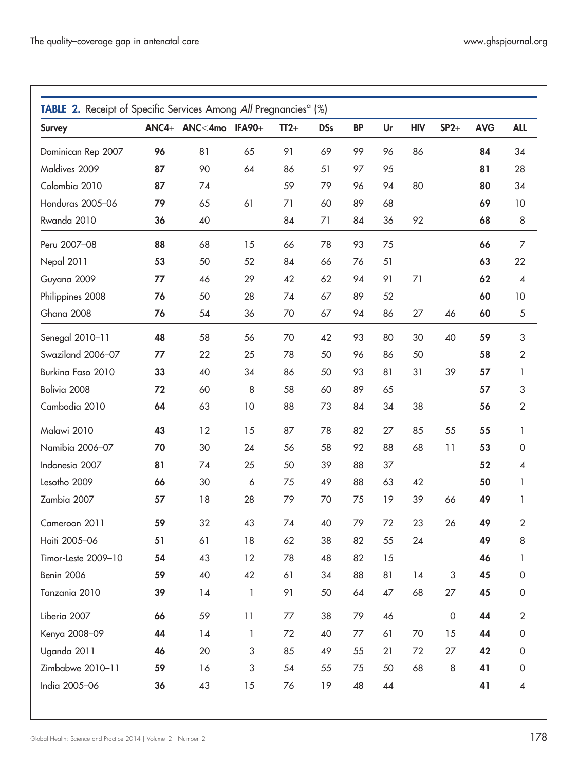<span id="page-5-0"></span>

| <b>Survey</b>       |    | ANC4+ ANC<4mo IFA90+ |              | $TT2+$ | <b>DSs</b> | <b>BP</b> | Ur | <b>HIV</b> | $SP2+$              | <b>AVG</b> | <b>ALL</b>          |
|---------------------|----|----------------------|--------------|--------|------------|-----------|----|------------|---------------------|------------|---------------------|
|                     |    |                      |              |        |            | 99        |    |            |                     |            |                     |
| Dominican Rep 2007  | 96 | 81                   | 65           | 91     | 69         |           | 96 | 86         |                     | 84         | 34                  |
| Maldives 2009       | 87 | 90                   | 64           | 86     | 51         | 97        | 95 |            |                     | 81         | 28                  |
| Colombia 2010       | 87 | 74                   |              | 59     | 79         | 96        | 94 | 80         |                     | 80         | 34                  |
| Honduras 2005-06    | 79 | 65                   | 61           | 71     | 60         | 89        | 68 |            |                     | 69         | 10                  |
| Rwanda 2010         | 36 | 40                   |              | 84     | 71         | 84        | 36 | 92         |                     | 68         | 8                   |
| Peru 2007-08        | 88 | 68                   | 15           | 66     | 78         | 93        | 75 |            |                     | 66         | $\overline{7}$      |
| Nepal 2011          | 53 | 50                   | 52           | 84     | 66         | 76        | 51 |            |                     | 63         | 22                  |
| Guyana 2009         | 77 | 46                   | 29           | 42     | 62         | 94        | 91 | 71         |                     | 62         | $\pmb{4}$           |
| Philippines 2008    | 76 | 50                   | 28           | 74     | 67         | 89        | 52 |            |                     | 60         | 10                  |
| Ghana 2008          | 76 | 54                   | 36           | 70     | 67         | 94        | 86 | 27         | 46                  | 60         | $\sqrt{5}$          |
| Senegal 2010-11     | 48 | 58                   | 56           | 70     | 42         | 93        | 80 | 30         | 40                  | 59         | 3                   |
| Swaziland 2006-07   | 77 | 22                   | 25           | 78     | 50         | 96        | 86 | 50         |                     | 58         | $\overline{2}$      |
| Burkina Faso 2010   | 33 | 40                   | 34           | 86     | 50         | 93        | 81 | 31         | 39                  | 57         | 1                   |
| Bolivia 2008        | 72 | 60                   | 8            | 58     | 60         | 89        | 65 |            |                     | 57         | 3                   |
| Cambodia 2010       | 64 | 63                   | 10           | 88     | 73         | 84        | 34 | 38         |                     | 56         | $\sqrt{2}$          |
| Malawi 2010         | 43 | 12                   | 15           | 87     | 78         | 82        | 27 | 85         | 55                  | 55         | $\mathbf{1}$        |
| Namibia 2006-07     | 70 | 30                   | 24           | 56     | 58         | 92        | 88 | 68         | 11                  | 53         | $\mathsf{O}\xspace$ |
| Indonesia 2007      | 81 | 74                   | 25           | 50     | 39         | 88        | 37 |            |                     | 52         | 4                   |
| Lesotho 2009        | 66 | 30                   | 6            | 75     | 49         | 88        | 63 | 42         |                     | 50         | 1                   |
| Zambia 2007         | 57 | 18                   | 28           | 79     | 70         | 75        | 19 | 39         | 66                  | 49         | 1                   |
| Cameroon 2011       | 59 | 32                   | 43           | 74     | 40         | 79        | 72 | 23         | 26                  | 49         | $\overline{2}$      |
| Haiti 2005-06       | 51 | 61                   | 18           | 62     | 38         | 82        | 55 | 24         |                     | 49         | 8                   |
| Timor-Leste 2009-10 | 54 | 43                   | 12           | 78     | 48         | 82        | 15 |            |                     | 46         | 1                   |
| Benin 2006          | 59 | 40                   | 42           | 61     | 34         | 88        | 81 | 14         | $\sqrt{3}$          | 45         | $\mathsf{O}\xspace$ |
| Tanzania 2010       | 39 | 14                   | $\mathbf{1}$ | 91     | 50         | 64        | 47 | 68         | 27                  | 45         | $\mathsf{O}\xspace$ |
| Liberia 2007        | 66 | 59                   | 11           | 77     | 38         | 79        | 46 |            | $\mathsf{O}\xspace$ | 44         | $\mathbf{2}$        |
| Kenya 2008-09       | 44 | 14                   | 1            | 72     | 40         | 77        | 61 | 70         | 15                  | 44         | $\mathsf{O}\xspace$ |
| Uganda 2011         | 46 | 20                   | 3            | 85     | 49         | 55        | 21 | 72         | 27                  | 42         | 0                   |
| Zimbabwe 2010-11    | 59 | 16                   | 3            | 54     | 55         | 75        | 50 | 68         | $\,8\,$             | 41         | 0                   |
| India 2005-06       | 36 | 43                   | 15           | 76     | 19         | 48        | 44 |            |                     | 41         | $\pmb{4}$           |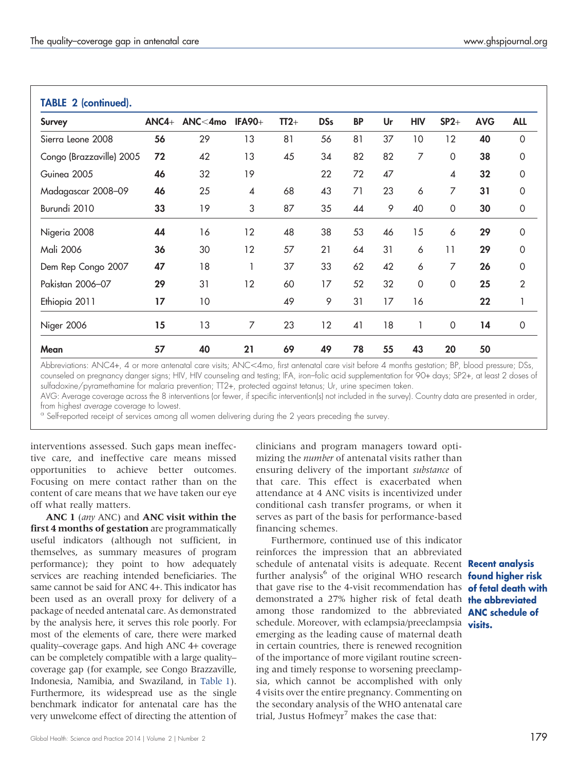| <b>Survey</b>            | $ANCA+$ | ANC<4mo | <b>IFA90+</b>            | $TT2+$ | <b>DSs</b> | <b>BP</b> | Ur | <b>HIV</b> | $SP2+$                   | <b>AVG</b> | <b>ALL</b>     |
|--------------------------|---------|---------|--------------------------|--------|------------|-----------|----|------------|--------------------------|------------|----------------|
| Sierra Leone 2008        | 56      | 29      | 13                       | 81     | 56         | 81        | 37 | 10         | 12                       | 40         | $\mathbf 0$    |
| Congo (Brazzaville) 2005 | 72      | 42      | 13                       | 45     | 34         | 82        | 82 | 7          | $\Omega$                 | 38         | $\Omega$       |
| Guinea 2005              | 46      | 32      | 19                       |        | 22         | 72        | 47 |            | $\overline{\mathcal{A}}$ | 32         | $\Omega$       |
| Madagascar 2008-09       | 46      | 25      | $\overline{\mathcal{A}}$ | 68     | 43         | 71        | 23 | 6          | 7                        | 31         | 0              |
| Burundi 2010             | 33      | 19      | 3                        | 87     | 35         | 44        | 9  | 40         | $\mathbf 0$              | 30         | $\mathbf 0$    |
| Nigeria 2008             | 44      | 16      | 12                       | 48     | 38         | 53        | 46 | 15         | 6                        | 29         | 0              |
| Mali 2006                | 36      | 30      | 12                       | 57     | 21         | 64        | 31 | 6          | 11                       | 29         | $\Omega$       |
| Dem Rep Congo 2007       | 47      | 18      | 1                        | 37     | 33         | 62        | 42 | 6          | 7                        | 26         | $\Omega$       |
| Pakistan 2006-07         | 29      | 31      | 12                       | 60     | 17         | 52        | 32 | 0          | 0                        | 25         | $\overline{2}$ |
| Ethiopia 2011            | 17      | 10      |                          | 49     | 9          | 31        | 17 | 16         |                          | 22         | 1              |
| Niger 2006               | 15      | 13      | 7                        | 23     | 12         | 41        | 18 |            | 0                        | 14         | $\mathbf 0$    |
| Mean                     | 57      | 40      | 21                       | 69     | 49         | 78        | 55 | 43         | 20                       | 50         |                |

Abbreviations: ANC4+, 4 or more antenatal care visits; ANC<4mo, first antenatal care visit before 4 months gestation; BP, blood pressure; DSs, counseled on pregnancy danger signs; HIV, HIV counseling and testing; IFA, iron–folic acid supplementation for 90+ days; SP2+, at least 2 doses of sulfadoxine/pyramethamine for malaria prevention; TT2+, protected against tetanus; Ur, urine specimen taken.

AVG: Average coverage across the 8 interventions (or fewer, if specific intervention(s) not included in the survey). Country data are presented in order,<br>from highest *average* coverage to lowest.

<sup>a</sup> Self-reported receipt of services among all women delivering during the 2 years preceding the survey.

interventions assessed. Such gaps mean ineffective care, and ineffective care means missed opportunities to achieve better outcomes. Focusing on mere contact rather than on the content of care means that we have taken our eye off what really matters.

ANC 1 (any ANC) and ANC visit within the first 4 months of gestation are programmatically useful indicators (although not sufficient, in themselves, as summary measures of program performance); they point to how adequately services are reaching intended beneficiaries. The same cannot be said for ANC 4+. This indicator has been used as an overall proxy for delivery of a package of needed antenatal care. As demonstrated by the analysis here, it serves this role poorly. For most of the elements of care, there were marked quality–coverage gaps. And high ANC 4+ coverage can be completely compatible with a large quality– coverage gap (for example, see Congo Brazzaville, Indonesia, Namibia, and Swaziland, in [Table 1\)](#page-2-0). Furthermore, its widespread use as the single benchmark indicator for antenatal care has the very unwelcome effect of directing the attention of clinicians and program managers toward optimizing the *number* of antenatal visits rather than ensuring delivery of the important substance of that care. This effect is exacerbated when attendance at 4 ANC visits is incentivized under conditional cash transfer programs, or when it serves as part of the basis for performance-based financing schemes.

Furthermore, continued use of this indicator reinforces the impression that an abbreviated schedule of antenatal visits is adequate. Recent **Recent analysis** further analysis<sup>6</sup> of the original WHO research **found higher risk** that gave rise to the 4-visit recommendation has **of fetal death with** demonstrated a 27% higher risk of fetal death **the abbreviated** among those randomized to the abbreviated **ANC schedule of** schedule. Moreover, with eclampsia/preeclampsia visits. emerging as the leading cause of maternal death in certain countries, there is renewed recognition of the importance of more vigilant routine screening and timely response to worsening preeclampsia, which cannot be accomplished with only 4 visits over the entire pregnancy. Commenting on the secondary analysis of the WHO antenatal care trial, Justus Hofmeyr<sup>7</sup> makes the case that: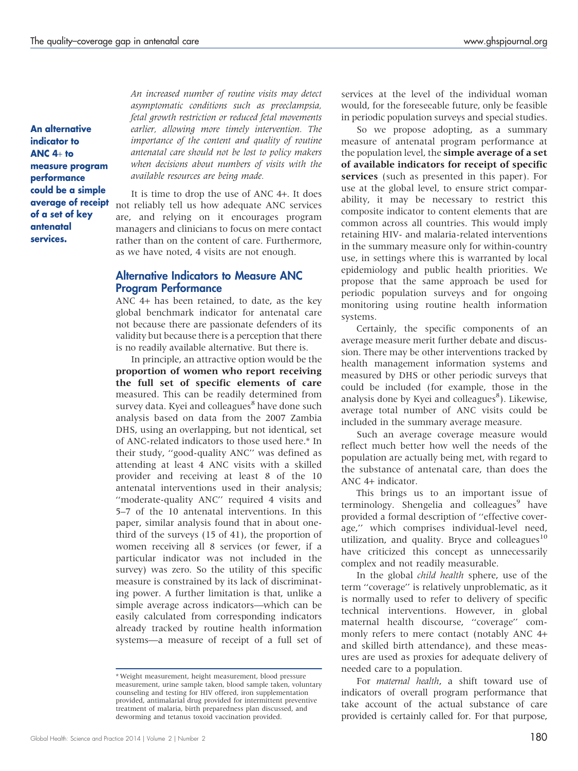An alternative indicator to ANC 4+ to measure program performance could be a simple average of receipt of a set of key antenatal services.

An increased number of routine visits may detect asymptomatic conditions such as preeclampsia, fetal growth restriction or reduced fetal movements earlier, allowing more timely intervention. The importance of the content and quality of routine antenatal care should not be lost to policy makers when decisions about numbers of visits with the available resources are being made.

It is time to drop the use of ANC 4+. It does not reliably tell us how adequate ANC services are, and relying on it encourages program managers and clinicians to focus on mere contact rather than on the content of care. Furthermore, as we have noted, 4 visits are not enough.

#### Alternative Indicators to Measure ANC Program Performance

ANC 4+ has been retained, to date, as the key global benchmark indicator for antenatal care not because there are passionate defenders of its validity but because there is a perception that there is no readily available alternative. But there is.

In principle, an attractive option would be the proportion of women who report receiving the full set of specific elements of care measured. This can be readily determined from survey data. Kyei and colleagues<sup>8</sup> have done such analysis based on data from the 2007 Zambia DHS, using an overlapping, but not identical, set of ANC-related indicators to those used here.\* In their study, ''good-quality ANC'' was defined as attending at least 4 ANC visits with a skilled provider and receiving at least 8 of the 10 antenatal interventions used in their analysis; ''moderate-quality ANC'' required 4 visits and 5–7 of the 10 antenatal interventions. In this paper, similar analysis found that in about onethird of the surveys (15 of 41), the proportion of women receiving all 8 services (or fewer, if a particular indicator was not included in the survey) was zero. So the utility of this specific measure is constrained by its lack of discriminating power. A further limitation is that, unlike a simple average across indicators—which can be easily calculated from corresponding indicators already tracked by routine health information systems—a measure of receipt of a full set of services at the level of the individual woman would, for the foreseeable future, only be feasible in periodic population surveys and special studies.

So we propose adopting, as a summary measure of antenatal program performance at the population level, the simple average of a set of available indicators for receipt of specific services (such as presented in this paper). For use at the global level, to ensure strict comparability, it may be necessary to restrict this composite indicator to content elements that are common across all countries. This would imply retaining HIV- and malaria-related interventions in the summary measure only for within-country use, in settings where this is warranted by local epidemiology and public health priorities. We propose that the same approach be used for periodic population surveys and for ongoing monitoring using routine health information systems.

Certainly, the specific components of an average measure merit further debate and discussion. There may be other interventions tracked by health management information systems and measured by DHS or other periodic surveys that could be included (for example, those in the analysis done by Kyei and colleagues<sup>8</sup>). Likewise, average total number of ANC visits could be included in the summary average measure.

Such an average coverage measure would reflect much better how well the needs of the population are actually being met, with regard to the substance of antenatal care, than does the ANC 4+ indicator.

This brings us to an important issue of terminology. Shengelia and colleagues<sup>9</sup> have provided a formal description of ''effective coverage,'' which comprises individual-level need, utilization, and quality. Bryce and colleagues $10$ have criticized this concept as unnecessarily complex and not readily measurable.

In the global child health sphere, use of the term ''coverage'' is relatively unproblematic, as it is normally used to refer to delivery of specific technical interventions. However, in global maternal health discourse, ''coverage'' commonly refers to mere contact (notably ANC 4+ and skilled birth attendance), and these measures are used as proxies for adequate delivery of needed care to a population.

For maternal health, a shift toward use of indicators of overall program performance that take account of the actual substance of care provided is certainly called for. For that purpose,

<sup>\*</sup> Weight measurement, height measurement, blood pressure measurement, urine sample taken, blood sample taken, voluntary counseling and testing for HIV offered, iron supplementation provided, antimalarial drug provided for intermittent preventive treatment of malaria, birth preparedness plan discussed, and deworming and tetanus toxoid vaccination provided.